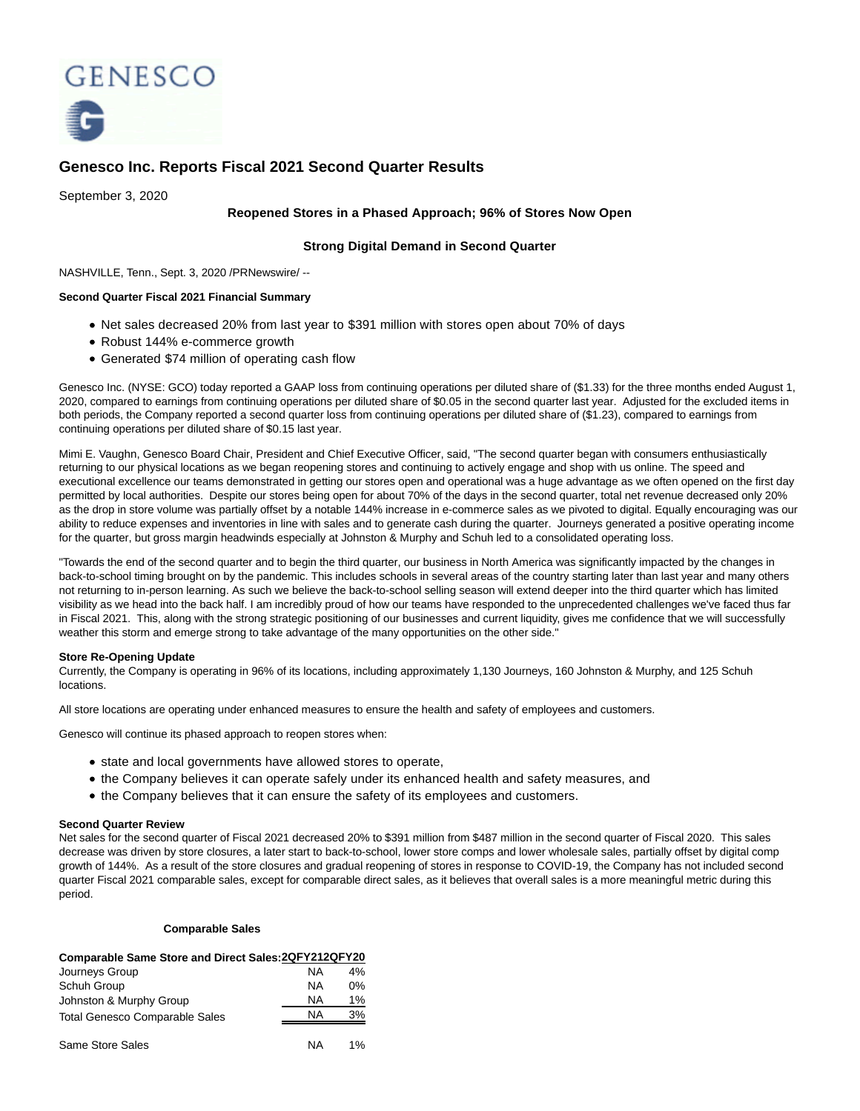

# **Genesco Inc. Reports Fiscal 2021 Second Quarter Results**

September 3, 2020

# **Reopened Stores in a Phased Approach; 96% of Stores Now Open**

# **Strong Digital Demand in Second Quarter**

NASHVILLE, Tenn., Sept. 3, 2020 /PRNewswire/ --

#### **Second Quarter Fiscal 2021 Financial Summary**

- Net sales decreased 20% from last year to \$391 million with stores open about 70% of days
- Robust 144% e-commerce growth
- Generated \$74 million of operating cash flow

Genesco Inc. (NYSE: GCO) today reported a GAAP loss from continuing operations per diluted share of (\$1.33) for the three months ended August 1, 2020, compared to earnings from continuing operations per diluted share of \$0.05 in the second quarter last year. Adjusted for the excluded items in both periods, the Company reported a second quarter loss from continuing operations per diluted share of (\$1.23), compared to earnings from continuing operations per diluted share of \$0.15 last year.

Mimi E. Vaughn, Genesco Board Chair, President and Chief Executive Officer, said, "The second quarter began with consumers enthusiastically returning to our physical locations as we began reopening stores and continuing to actively engage and shop with us online. The speed and executional excellence our teams demonstrated in getting our stores open and operational was a huge advantage as we often opened on the first day permitted by local authorities. Despite our stores being open for about 70% of the days in the second quarter, total net revenue decreased only 20% as the drop in store volume was partially offset by a notable 144% increase in e-commerce sales as we pivoted to digital. Equally encouraging was our ability to reduce expenses and inventories in line with sales and to generate cash during the quarter. Journeys generated a positive operating income for the quarter, but gross margin headwinds especially at Johnston & Murphy and Schuh led to a consolidated operating loss.

"Towards the end of the second quarter and to begin the third quarter, our business in North America was significantly impacted by the changes in back-to-school timing brought on by the pandemic. This includes schools in several areas of the country starting later than last year and many others not returning to in-person learning. As such we believe the back-to-school selling season will extend deeper into the third quarter which has limited visibility as we head into the back half. I am incredibly proud of how our teams have responded to the unprecedented challenges we've faced thus far in Fiscal 2021. This, along with the strong strategic positioning of our businesses and current liquidity, gives me confidence that we will successfully weather this storm and emerge strong to take advantage of the many opportunities on the other side."

## **Store Re-Opening Update**

Currently, the Company is operating in 96% of its locations, including approximately 1,130 Journeys, 160 Johnston & Murphy, and 125 Schuh locations.

All store locations are operating under enhanced measures to ensure the health and safety of employees and customers.

Genesco will continue its phased approach to reopen stores when:

- state and local governments have allowed stores to operate,
- the Company believes it can operate safely under its enhanced health and safety measures, and
- the Company believes that it can ensure the safety of its employees and customers.

#### **Second Quarter Review**

Net sales for the second quarter of Fiscal 2021 decreased 20% to \$391 million from \$487 million in the second quarter of Fiscal 2020. This sales decrease was driven by store closures, a later start to back-to-school, lower store comps and lower wholesale sales, partially offset by digital comp growth of 144%. As a result of the store closures and gradual reopening of stores in response to COVID-19, the Company has not included second quarter Fiscal 2021 comparable sales, except for comparable direct sales, as it believes that overall sales is a more meaningful metric during this period.

#### **Comparable Sales**

| Comparable Same Store and Direct Sales: 2QFY212QFY20 |    |       |
|------------------------------------------------------|----|-------|
| Journeys Group                                       | ΝA | 4%    |
| Schuh Group                                          | ΝA | $0\%$ |
| Johnston & Murphy Group                              | NA | $1\%$ |
| <b>Total Genesco Comparable Sales</b>                | NA | 3%    |
| Same Store Sales                                     | NA | 1%    |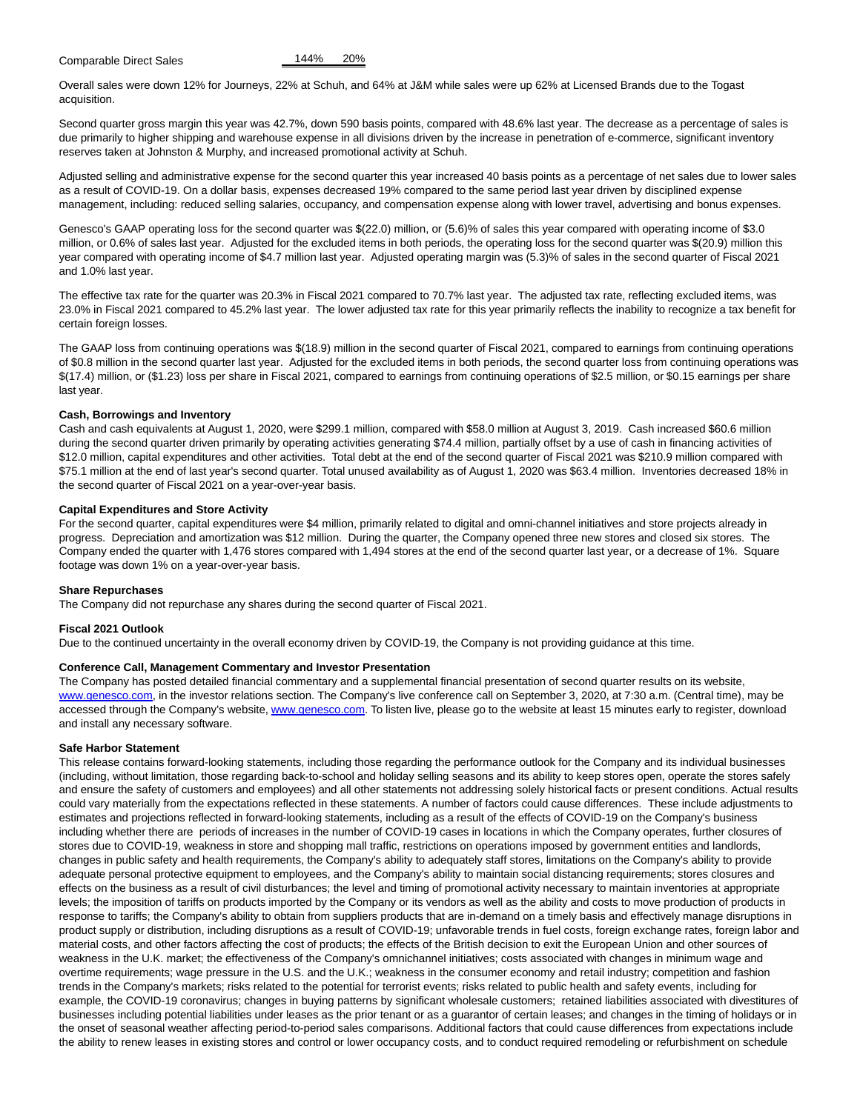Comparable Direct Sales 144% 20%

Overall sales were down 12% for Journeys, 22% at Schuh, and 64% at J&M while sales were up 62% at Licensed Brands due to the Togast acquisition.

Second quarter gross margin this year was 42.7%, down 590 basis points, compared with 48.6% last year. The decrease as a percentage of sales is due primarily to higher shipping and warehouse expense in all divisions driven by the increase in penetration of e-commerce, significant inventory reserves taken at Johnston & Murphy, and increased promotional activity at Schuh.

Adjusted selling and administrative expense for the second quarter this year increased 40 basis points as a percentage of net sales due to lower sales as a result of COVID-19. On a dollar basis, expenses decreased 19% compared to the same period last year driven by disciplined expense management, including: reduced selling salaries, occupancy, and compensation expense along with lower travel, advertising and bonus expenses.

Genesco's GAAP operating loss for the second quarter was \$(22.0) million, or (5.6)% of sales this year compared with operating income of \$3.0 million, or 0.6% of sales last year. Adjusted for the excluded items in both periods, the operating loss for the second quarter was \$(20.9) million this year compared with operating income of \$4.7 million last year. Adjusted operating margin was (5.3)% of sales in the second quarter of Fiscal 2021 and 1.0% last year.

The effective tax rate for the quarter was 20.3% in Fiscal 2021 compared to 70.7% last year. The adjusted tax rate, reflecting excluded items, was 23.0% in Fiscal 2021 compared to 45.2% last year. The lower adjusted tax rate for this year primarily reflects the inability to recognize a tax benefit for certain foreign losses.

The GAAP loss from continuing operations was \$(18.9) million in the second quarter of Fiscal 2021, compared to earnings from continuing operations of \$0.8 million in the second quarter last year. Adjusted for the excluded items in both periods, the second quarter loss from continuing operations was \$(17.4) million, or (\$1.23) loss per share in Fiscal 2021, compared to earnings from continuing operations of \$2.5 million, or \$0.15 earnings per share last year.

#### **Cash, Borrowings and Inventory**

Cash and cash equivalents at August 1, 2020, were \$299.1 million, compared with \$58.0 million at August 3, 2019. Cash increased \$60.6 million during the second quarter driven primarily by operating activities generating \$74.4 million, partially offset by a use of cash in financing activities of \$12.0 million, capital expenditures and other activities. Total debt at the end of the second quarter of Fiscal 2021 was \$210.9 million compared with \$75.1 million at the end of last year's second quarter. Total unused availability as of August 1, 2020 was \$63.4 million. Inventories decreased 18% in the second quarter of Fiscal 2021 on a year-over-year basis.

#### **Capital Expenditures and Store Activity**

For the second quarter, capital expenditures were \$4 million, primarily related to digital and omni-channel initiatives and store projects already in progress. Depreciation and amortization was \$12 million. During the quarter, the Company opened three new stores and closed six stores. The Company ended the quarter with 1,476 stores compared with 1,494 stores at the end of the second quarter last year, or a decrease of 1%. Square footage was down 1% on a year-over-year basis.

## **Share Repurchases**

The Company did not repurchase any shares during the second quarter of Fiscal 2021.

#### **Fiscal 2021 Outlook**

Due to the continued uncertainty in the overall economy driven by COVID-19, the Company is not providing guidance at this time.

## **Conference Call, Management Commentary and Investor Presentation**

The Company has posted detailed financial commentary and a supplemental financial presentation of second quarter results on its website, [www.genesco.com,](https://c212.net/c/link/?t=0&l=en&o=2907202-1&h=1175692391&u=http%3A%2F%2Fwww.genesco.com%2F&a=www.genesco.com) in the investor relations section. The Company's live conference call on September 3, 2020, at 7:30 a.m. (Central time), may be accessed through the Company's website[, www.genesco.com.](https://c212.net/c/link/?t=0&l=en&o=2907202-1&h=1175692391&u=http%3A%2F%2Fwww.genesco.com%2F&a=www.genesco.com) To listen live, please go to the website at least 15 minutes early to register, download and install any necessary software.

## **Safe Harbor Statement**

This release contains forward-looking statements, including those regarding the performance outlook for the Company and its individual businesses (including, without limitation, those regarding back-to-school and holiday selling seasons and its ability to keep stores open, operate the stores safely and ensure the safety of customers and employees) and all other statements not addressing solely historical facts or present conditions. Actual results could vary materially from the expectations reflected in these statements. A number of factors could cause differences. These include adjustments to estimates and projections reflected in forward-looking statements, including as a result of the effects of COVID-19 on the Company's business including whether there are periods of increases in the number of COVID-19 cases in locations in which the Company operates, further closures of stores due to COVID-19, weakness in store and shopping mall traffic, restrictions on operations imposed by government entities and landlords, changes in public safety and health requirements, the Company's ability to adequately staff stores, limitations on the Company's ability to provide adequate personal protective equipment to employees, and the Company's ability to maintain social distancing requirements; stores closures and effects on the business as a result of civil disturbances; the level and timing of promotional activity necessary to maintain inventories at appropriate levels; the imposition of tariffs on products imported by the Company or its vendors as well as the ability and costs to move production of products in response to tariffs; the Company's ability to obtain from suppliers products that are in-demand on a timely basis and effectively manage disruptions in product supply or distribution, including disruptions as a result of COVID-19; unfavorable trends in fuel costs, foreign exchange rates, foreign labor and material costs, and other factors affecting the cost of products; the effects of the British decision to exit the European Union and other sources of weakness in the U.K. market; the effectiveness of the Company's omnichannel initiatives; costs associated with changes in minimum wage and overtime requirements; wage pressure in the U.S. and the U.K.; weakness in the consumer economy and retail industry; competition and fashion trends in the Company's markets; risks related to the potential for terrorist events; risks related to public health and safety events, including for example, the COVID-19 coronavirus; changes in buying patterns by significant wholesale customers; retained liabilities associated with divestitures of businesses including potential liabilities under leases as the prior tenant or as a guarantor of certain leases; and changes in the timing of holidays or in the onset of seasonal weather affecting period-to-period sales comparisons. Additional factors that could cause differences from expectations include the ability to renew leases in existing stores and control or lower occupancy costs, and to conduct required remodeling or refurbishment on schedule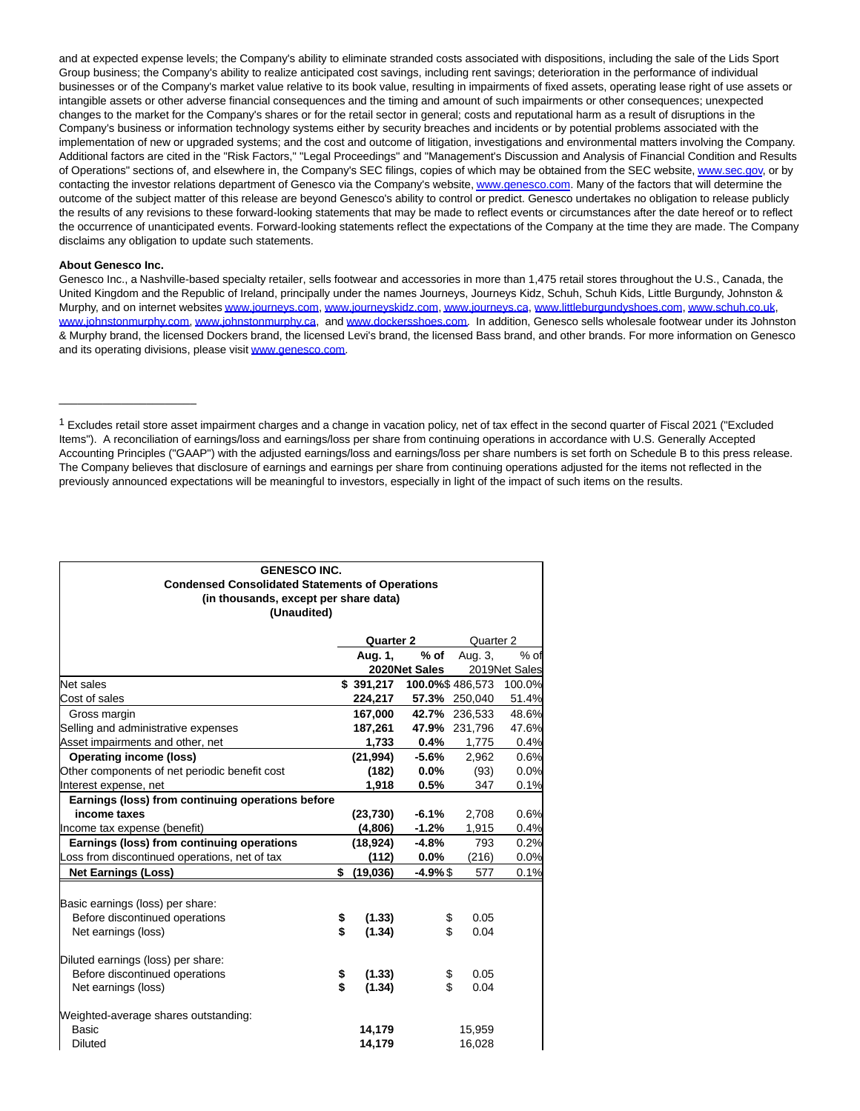and at expected expense levels; the Company's ability to eliminate stranded costs associated with dispositions, including the sale of the Lids Sport Group business; the Company's ability to realize anticipated cost savings, including rent savings; deterioration in the performance of individual businesses or of the Company's market value relative to its book value, resulting in impairments of fixed assets, operating lease right of use assets or intangible assets or other adverse financial consequences and the timing and amount of such impairments or other consequences; unexpected changes to the market for the Company's shares or for the retail sector in general; costs and reputational harm as a result of disruptions in the Company's business or information technology systems either by security breaches and incidents or by potential problems associated with the implementation of new or upgraded systems; and the cost and outcome of litigation, investigations and environmental matters involving the Company. Additional factors are cited in the "Risk Factors," "Legal Proceedings" and "Management's Discussion and Analysis of Financial Condition and Results of Operations" sections of, and elsewhere in, the Company's SEC filings, copies of which may be obtained from the SEC website[, www.sec.gov,](http://www.sec.gov/) or by contacting the investor relations department of Genesco via the Company's website[, www.genesco.com.](http://www.genesco.com/) Many of the factors that will determine the outcome of the subject matter of this release are beyond Genesco's ability to control or predict. Genesco undertakes no obligation to release publicly the results of any revisions to these forward-looking statements that may be made to reflect events or circumstances after the date hereof or to reflect the occurrence of unanticipated events. Forward-looking statements reflect the expectations of the Company at the time they are made. The Company disclaims any obligation to update such statements.

#### **About Genesco Inc.**

\_\_\_\_\_\_\_\_\_\_\_\_\_\_\_\_\_\_\_\_\_\_

Genesco Inc., a Nashville-based specialty retailer, sells footwear and accessories in more than 1,475 retail stores throughout the U.S., Canada, the United Kingdom and the Republic of Ireland, principally under the names Journeys, Journeys Kidz, Schuh, Schuh Kids, Little Burgundy, Johnston & Murphy, and on internet website[s www.journeys.com,](https://c212.net/c/link/?t=0&l=en&o=2907202-1&h=2414310442&u=http%3A%2F%2Fwww.journeys.com%2F&a=www.journeys.com) [www.journeyskidz.com,](https://c212.net/c/link/?t=0&l=en&o=2907202-1&h=1858024829&u=http%3A%2F%2Fwww.journeyskidz.com%2F&a=www.journeyskidz.com) [www.journeys.ca,](https://c212.net/c/link/?t=0&l=en&o=2907202-1&h=1524186026&u=http%3A%2F%2Fwww.journeys.ca%2F&a=www.journeys.ca) [www.littleburgundyshoes.com,](https://c212.net/c/link/?t=0&l=en&o=2907202-1&h=4041171509&u=http%3A%2F%2Fwww.littleburgundyshoes.com%2F&a=www.littleburgundyshoes.com) [www.schuh.co.uk,](https://c212.net/c/link/?t=0&l=en&o=2907202-1&h=110778014&u=http%3A%2F%2Fwww.schuh.co.uk%2F&a=www.schuh.co.uk) [www.johnstonmurphy.com,](https://c212.net/c/link/?t=0&l=en&o=2907202-1&h=3607894573&u=http%3A%2F%2Fwww.johnstonmurphy.com%2F&a=www.johnstonmurphy.com) [www.johnstonmurphy.ca,](https://c212.net/c/link/?t=0&l=en&o=2907202-1&h=3449635203&u=http%3A%2F%2Fwww.johnstonmurphy.ca%2F&a=www.johnstonmurphy.ca) and [www.dockersshoes.com.](https://c212.net/c/link/?t=0&l=en&o=2907202-1&h=4230893554&u=http%3A%2F%2Fwww.dockersshoes.com%2F&a=www.dockersshoes.com) In addition, Genesco sells wholesale footwear under its Johnston & Murphy brand, the licensed Dockers brand, the licensed Levi's brand, the licensed Bass brand, and other brands. For more information on Genesco and its operating divisions, please visit [www.genesco.com.](https://c212.net/c/link/?t=0&l=en&o=2907202-1&h=1175692391&u=http%3A%2F%2Fwww.genesco.com%2F&a=www.genesco.com)

<sup>1</sup> Excludes retail store asset impairment charges and a change in vacation policy, net of tax effect in the second quarter of Fiscal 2021 ("Excluded Items"). A reconciliation of earnings/loss and earnings/loss per share from continuing operations in accordance with U.S. Generally Accepted Accounting Principles ("GAAP") with the adjusted earnings/loss and earnings/loss per share numbers is set forth on Schedule B to this press release. The Company believes that disclosure of earnings and earnings per share from continuing operations adjusted for the items not reflected in the previously announced expectations will be meaningful to investors, especially in light of the impact of such items on the results.

| <b>GENESCO INC.</b><br><b>Condensed Consolidated Statements of Operations</b><br>(in thousands, except per share data)<br>(Unaudited) |                  |                 |               |               |
|---------------------------------------------------------------------------------------------------------------------------------------|------------------|-----------------|---------------|---------------|
|                                                                                                                                       | <b>Quarter 2</b> |                 | Quarter 2     |               |
|                                                                                                                                       | Aug. 1,          | $%$ of          | Aug. 3,       | $%$ of        |
|                                                                                                                                       |                  | 2020Net Sales   |               | 2019Net Sales |
| Net sales                                                                                                                             | \$391,217        | 100.0%\$486,573 |               | 100.0%        |
| Cost of sales                                                                                                                         | 224,217          |                 | 57.3% 250,040 | 51.4%         |
| Gross margin                                                                                                                          | 167,000          |                 | 42.7% 236,533 | 48.6%         |
| Selling and administrative expenses                                                                                                   | 187,261          | 47.9%           | 231,796       | 47.6%         |
| Asset impairments and other, net                                                                                                      | 1,733            | 0.4%            | 1,775         | 0.4%          |
| <b>Operating income (loss)</b>                                                                                                        | (21,994)         | $-5.6%$         | 2,962         | 0.6%          |
| Other components of net periodic benefit cost                                                                                         | (182)            | $0.0\%$         | (93)          | 0.0%          |
| Interest expense, net                                                                                                                 | 1,918            | 0.5%            | 347           | 0.1%          |
| Earnings (loss) from continuing operations before                                                                                     |                  |                 |               |               |
| income taxes                                                                                                                          | (23, 730)        | $-6.1%$         | 2,708         | 0.6%          |
| Income tax expense (benefit)                                                                                                          | (4,806)          | $-1.2%$         | 1,915         | 0.4%          |
| Earnings (loss) from continuing operations                                                                                            | (18, 924)        | $-4.8%$         | 793           | 0.2%          |
| Loss from discontinued operations, net of tax                                                                                         | (112)            | $0.0\%$         | (216)         | 0.0%          |
| <b>Net Earnings (Loss)</b>                                                                                                            | \$<br>(19,036)   | $-4.9%$ \$      | 577           | 0.1%          |
| Basic earnings (loss) per share:                                                                                                      |                  |                 |               |               |
| Before discontinued operations                                                                                                        | \$<br>(1.33)     | \$              | 0.05          |               |
| Net earnings (loss)                                                                                                                   | \$<br>(1.34)     | \$              | 0.04          |               |
| Diluted earnings (loss) per share:                                                                                                    |                  |                 |               |               |
| Before discontinued operations                                                                                                        | \$<br>(1.33)     | \$              | 0.05          |               |
| Net earnings (loss)                                                                                                                   | \$<br>(1.34)     | \$              | 0.04          |               |
| Weighted-average shares outstanding:                                                                                                  |                  |                 |               |               |
| Basic                                                                                                                                 | 14,179           |                 | 15,959        |               |
| <b>Diluted</b>                                                                                                                        | 14,179           |                 | 16,028        |               |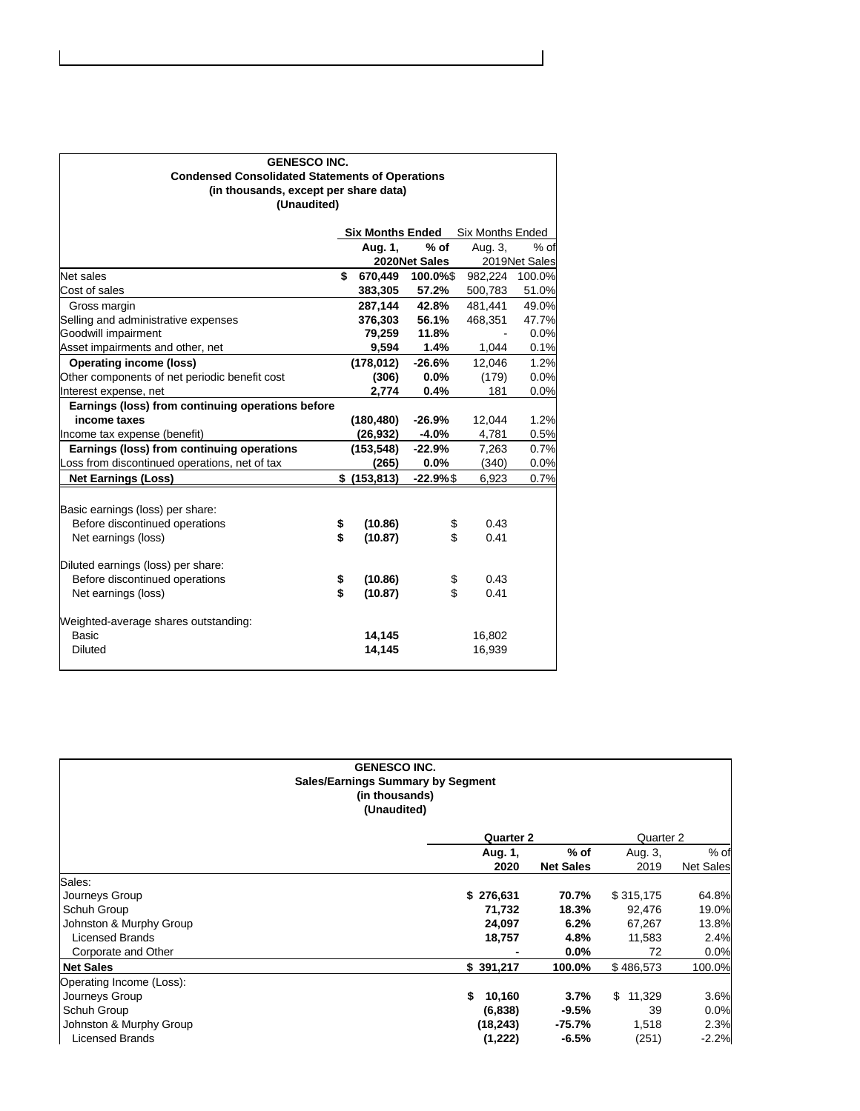| <b>GENESCO INC.</b><br><b>Condensed Consolidated Statements of Operations</b><br>(in thousands, except per share data)<br>(Unaudited) |          |                         |               |                         |               |  |  |
|---------------------------------------------------------------------------------------------------------------------------------------|----------|-------------------------|---------------|-------------------------|---------------|--|--|
|                                                                                                                                       |          | <b>Six Months Ended</b> |               | <b>Six Months Ended</b> |               |  |  |
|                                                                                                                                       |          | Aug. 1,                 | $%$ of        | Aug. 3,                 | % of          |  |  |
|                                                                                                                                       |          |                         | 2020Net Sales |                         | 2019Net Sales |  |  |
| Net sales                                                                                                                             | \$       | 670,449                 | 100.0%\$      | 982,224 100.0%          |               |  |  |
| Cost of sales                                                                                                                         |          | 383,305                 | 57.2%         | 500,783                 | 51.0%         |  |  |
| Gross margin                                                                                                                          |          | 287,144                 | 42.8%         | 481,441                 | 49.0%         |  |  |
| Selling and administrative expenses                                                                                                   |          | 376,303                 | 56.1%         | 468,351                 | 47.7%         |  |  |
| Goodwill impairment                                                                                                                   |          | 79,259                  | 11.8%         |                         | 0.0%          |  |  |
| Asset impairments and other, net                                                                                                      |          | 9,594                   | 1.4%          | 1,044                   | 0.1%          |  |  |
| <b>Operating income (loss)</b>                                                                                                        |          | (178.012)               | $-26.6%$      | 12,046                  | 1.2%          |  |  |
| Other components of net periodic benefit cost                                                                                         |          | (306)                   | $0.0\%$       | (179)                   | 0.0%          |  |  |
| Interest expense, net                                                                                                                 |          | 2,774                   | 0.4%          | 181                     | 0.0%          |  |  |
| Earnings (loss) from continuing operations before                                                                                     |          |                         |               |                         |               |  |  |
| income taxes                                                                                                                          |          | (180, 480)              | $-26.9%$      | 12,044                  | 1.2%          |  |  |
| Income tax expense (benefit)                                                                                                          |          | (26, 932)               | $-4.0%$       | 4,781                   | 0.5%          |  |  |
| Earnings (loss) from continuing operations                                                                                            |          | (153, 548)              | $-22.9%$      | 7,263                   | 0.7%          |  |  |
| Loss from discontinued operations, net of tax                                                                                         |          | (265)                   | 0.0%          | (340)                   | 0.0%          |  |  |
| <b>Net Earnings (Loss)</b>                                                                                                            |          | \$(153, 813)            | $-22.9%$      | 6,923                   | 0.7%          |  |  |
| Basic earnings (loss) per share:<br>Before discontinued operations<br>Net earnings (loss)                                             | \$<br>\$ | (10.86)<br>(10.87)      | \$<br>\$      | 0.43<br>0.41            |               |  |  |
| Diluted earnings (loss) per share:<br>Before discontinued operations<br>Net earnings (loss)                                           | \$<br>\$ | (10.86)<br>(10.87)      | \$<br>\$      | 0.43<br>0.41            |               |  |  |
| Weighted-average shares outstanding:<br>Basic<br><b>Diluted</b>                                                                       |          | 14,145<br>14,145        |               | 16,802<br>16,939        |               |  |  |

 $\overline{\phantom{a}}$ 

|                          | <b>GENESCO INC.</b><br><b>Sales/Earnings Summary by Segment</b><br>(in thousands)<br>(Unaudited) |                  |                          |                 |                            |
|--------------------------|--------------------------------------------------------------------------------------------------|------------------|--------------------------|-----------------|----------------------------|
|                          |                                                                                                  | <b>Quarter 2</b> |                          | Quarter 2       |                            |
|                          |                                                                                                  | Aug. 1,<br>2020  | % of<br><b>Net Sales</b> | Aug. 3,<br>2019 | $%$ of<br><b>Net Sales</b> |
| Sales:                   |                                                                                                  |                  |                          |                 |                            |
| Journeys Group           |                                                                                                  | \$276,631        | 70.7%                    | \$315,175       | 64.8%                      |
| Schuh Group              |                                                                                                  | 71,732           | 18.3%                    | 92,476          | 19.0%                      |
| Johnston & Murphy Group  |                                                                                                  | 24,097           | 6.2%                     | 67,267          | 13.8%                      |
| <b>Licensed Brands</b>   |                                                                                                  | 18,757           | 4.8%                     | 11,583          | 2.4%                       |
| Corporate and Other      |                                                                                                  |                  | 0.0%                     | 72              | 0.0%                       |
| <b>Net Sales</b>         |                                                                                                  | \$391,217        | 100.0%                   | \$486,573       | 100.0%                     |
| Operating Income (Loss): |                                                                                                  |                  |                          |                 |                            |
| Journeys Group           |                                                                                                  | \$<br>10,160     | 3.7%                     | \$11,329        | 3.6%                       |
| Schuh Group              |                                                                                                  | (6,838)          | $-9.5%$                  | 39              | 0.0%                       |
| Johnston & Murphy Group  |                                                                                                  | (18, 243)        | $-75.7%$                 | 1,518           | 2.3%                       |
| <b>Licensed Brands</b>   |                                                                                                  | (1,222)          | $-6.5%$                  | (251)           | $-2.2%$                    |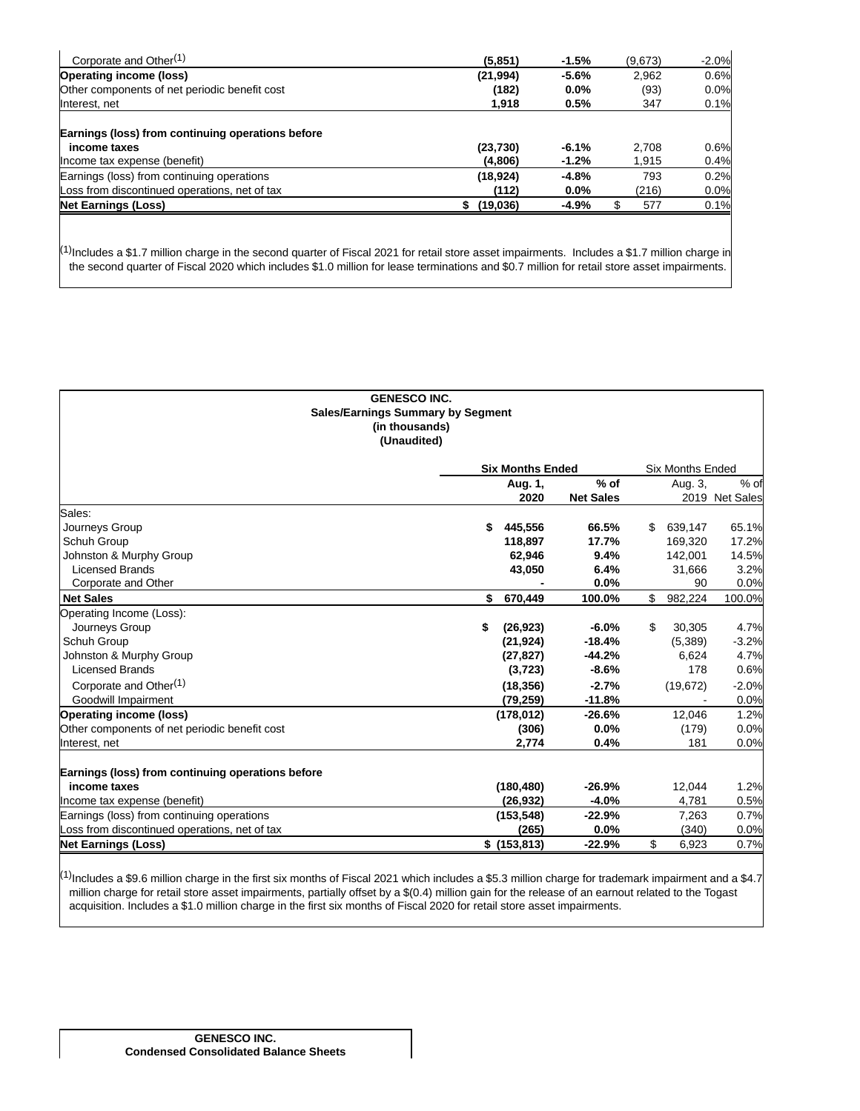| Corporate and Other <sup>(1)</sup>                                                                | (5,851)              | $-1.5%$             | (9,673)        | $-2.0%$      |
|---------------------------------------------------------------------------------------------------|----------------------|---------------------|----------------|--------------|
| Operating income (loss)                                                                           | (21, 994)            | $-5.6%$             | 2,962          | 0.6%         |
| Other components of net periodic benefit cost                                                     | (182)                | $0.0\%$             | (93)           | 0.0%         |
| Interest, net                                                                                     | 1,918                | 0.5%                | 347            | 0.1%         |
| Earnings (loss) from continuing operations before<br>income taxes<br>Income tax expense (benefit) | (23, 730)<br>(4,806) | $-6.1\%$<br>$-1.2%$ | 2.708<br>1.915 | 0.6%<br>0.4% |
| Earnings (loss) from continuing operations                                                        | (18, 924)            | $-4.8%$             | 793            | 0.2%         |
| Loss from discontinued operations, net of tax                                                     | (112)                | $0.0\%$             | (216)          | 0.0%         |
| <b>Net Earnings (Loss)</b>                                                                        | (19,036)             | $-4.9%$             | 577            | 0.1%         |

<sup>(1)</sup>Includes a \$1.7 million charge in the second quarter of Fiscal 2021 for retail store asset impairments. Includes a \$1.7 million charge in the second quarter of Fiscal 2020 which includes \$1.0 million for lease terminations and \$0.7 million for retail store asset impairments.

| <b>GENESCO INC.</b><br>(in thousands)<br>(Unaudited)                                                                                                                        | <b>Sales/Earnings Summary by Segment</b>                                      |                                                                   |                                                      |                                                    |
|-----------------------------------------------------------------------------------------------------------------------------------------------------------------------------|-------------------------------------------------------------------------------|-------------------------------------------------------------------|------------------------------------------------------|----------------------------------------------------|
|                                                                                                                                                                             | <b>Six Months Ended</b>                                                       |                                                                   | <b>Six Months Ended</b>                              |                                                    |
|                                                                                                                                                                             | Aug. 1,<br>2020                                                               | $%$ of<br><b>Net Sales</b>                                        | Aug. 3,                                              | $%$ of<br>2019 Net Sales                           |
| Sales:<br>Journeys Group<br>Schuh Group<br>Johnston & Murphy Group<br><b>Licensed Brands</b><br>Corporate and Other                                                         | \$<br>445,556<br>118,897<br>62,946<br>43,050                                  | 66.5%<br>17.7%<br>9.4%<br>6.4%<br>0.0%                            | 639,147<br>\$<br>169,320<br>142,001<br>31,666<br>90  | 65.1%<br>17.2%<br>14.5%<br>3.2%<br>0.0%            |
| <b>Net Sales</b>                                                                                                                                                            | 670,449<br>\$                                                                 | 100.0%                                                            | \$<br>982,224                                        | 100.0%                                             |
| Operating Income (Loss):<br>Journeys Group<br>Schuh Group<br>Johnston & Murphy Group<br><b>Licensed Brands</b><br>Corporate and Other <sup>(1)</sup><br>Goodwill Impairment | \$<br>(26, 923)<br>(21, 924)<br>(27, 827)<br>(3,723)<br>(18, 356)<br>(79,259) | $-6.0%$<br>$-18.4%$<br>$-44.2%$<br>$-8.6%$<br>$-2.7%$<br>$-11.8%$ | \$<br>30,305<br>(5,389)<br>6,624<br>178<br>(19, 672) | 4.7%<br>$-3.2%$<br>4.7%<br>0.6%<br>$-2.0%$<br>0.0% |
| <b>Operating income (loss)</b><br>Other components of net periodic benefit cost<br>Interest, net                                                                            | (178, 012)<br>(306)<br>2,774                                                  | $-26.6%$<br>0.0%<br>0.4%                                          | 12,046<br>(179)<br>181                               | 1.2%<br>0.0%<br>0.0%                               |
| Earnings (loss) from continuing operations before<br>income taxes<br>Income tax expense (benefit)<br>Earnings (loss) from continuing operations                             | (180, 480)<br>(26, 932)<br>(153, 548)                                         | $-26.9%$<br>$-4.0%$<br>$-22.9%$                                   | 12,044<br>4,781<br>7.263                             | 1.2%<br>0.5%<br>0.7%                               |
| Loss from discontinued operations, net of tax<br><b>Net Earnings (Loss)</b>                                                                                                 | (265)<br>\$(153, 813)                                                         | 0.0%<br>$-22.9%$                                                  | (340)<br>\$<br>6,923                                 | 0.0%<br>0.7%                                       |

 $^{(1)}$ Includes a \$9.6 million charge in the first six months of Fiscal 2021 which includes a \$5.3 million charge for trademark impairment and a \$4.7 million charge for retail store asset impairments, partially offset by a \$(0.4) million gain for the release of an earnout related to the Togast acquisition. Includes a \$1.0 million charge in the first six months of Fiscal 2020 for retail store asset impairments.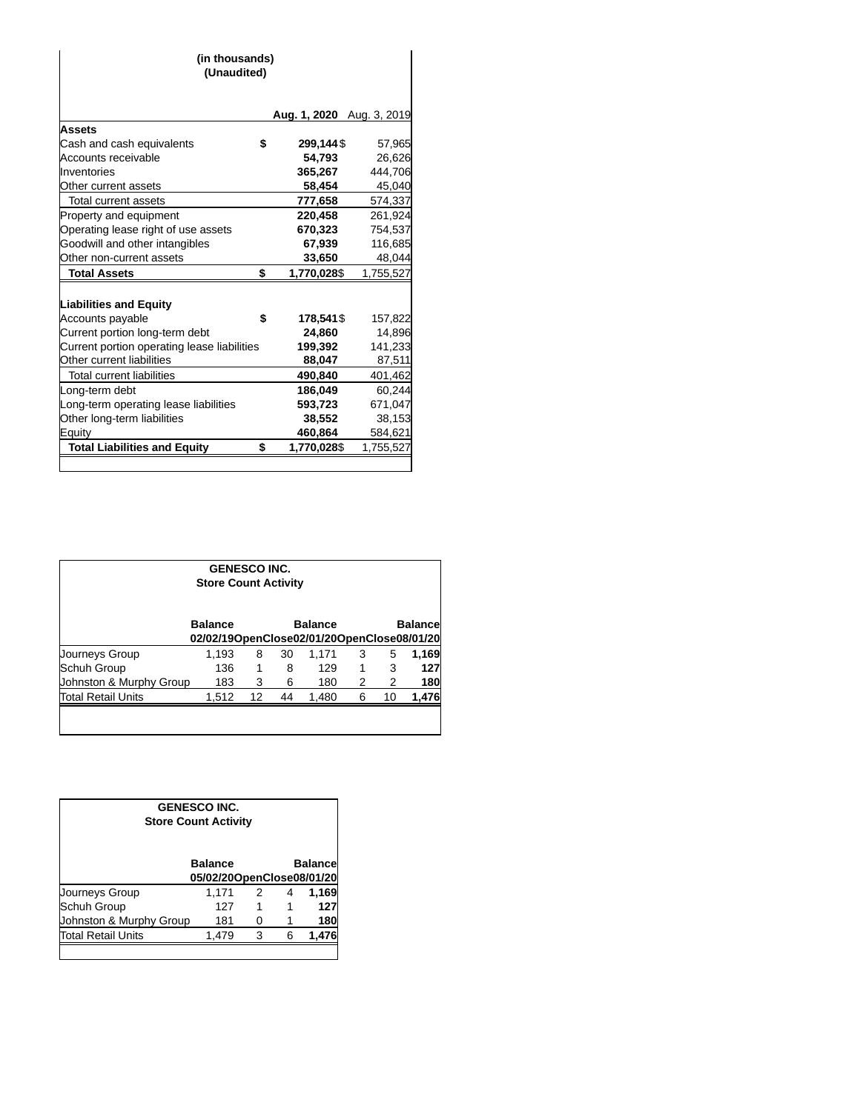| (in thousands)<br>(Unaudited)               |    |                           |           |  |  |  |  |
|---------------------------------------------|----|---------------------------|-----------|--|--|--|--|
|                                             |    | Aug. 1, 2020 Aug. 3, 2019 |           |  |  |  |  |
| Assets                                      |    |                           |           |  |  |  |  |
| Cash and cash equivalents                   | \$ | 299.144\$                 | 57,965    |  |  |  |  |
| Accounts receivable                         |    | 54,793                    | 26,626    |  |  |  |  |
| Inventories                                 |    | 365,267                   | 444,706   |  |  |  |  |
| Other current assets                        |    | 58.454                    | 45,040    |  |  |  |  |
| Total current assets                        |    | 777,658                   | 574,337   |  |  |  |  |
| Property and equipment                      |    | 220.458                   | 261.924   |  |  |  |  |
| Operating lease right of use assets         |    | 670,323                   | 754,537   |  |  |  |  |
| Goodwill and other intangibles              |    | 67,939                    | 116,685   |  |  |  |  |
| Other non-current assets                    |    | 33,650                    | 48,044    |  |  |  |  |
| <b>Total Assets</b>                         | \$ | 1,770,028\$               | 1,755,527 |  |  |  |  |
| <b>Liabilities and Equity</b>               |    |                           |           |  |  |  |  |
| Accounts payable                            | \$ | 178,541\$                 | 157,822   |  |  |  |  |
| Current portion long-term debt              |    | 24,860                    | 14,896    |  |  |  |  |
| Current portion operating lease liabilities |    | 199,392                   | 141,233   |  |  |  |  |
| Other current liabilities                   |    | 88,047                    | 87,511    |  |  |  |  |
| <b>Total current liabilities</b>            |    | 490,840                   | 401,462   |  |  |  |  |
| Long-term debt                              |    | 186,049                   | 60,244    |  |  |  |  |
| Long-term operating lease liabilities       |    | 593,723                   | 671,047   |  |  |  |  |
| Other long-term liabilities                 |    | 38,552                    | 38,153    |  |  |  |  |
| Equity                                      |    | 460,864                   | 584,621   |  |  |  |  |
| <b>Total Liabilities and Equity</b>         | \$ | 1,770,028\$               | 1,755,527 |  |  |  |  |
|                                             |    |                           |           |  |  |  |  |

| <b>GENESCO INC.</b><br><b>Store Count Activity</b> |                                                              |    |    |                |   |    |                 |  |
|----------------------------------------------------|--------------------------------------------------------------|----|----|----------------|---|----|-----------------|--|
|                                                    | <b>Balance</b><br>02/02/19OpenClose02/01/20OpenClose08/01/20 |    |    | <b>Balance</b> |   |    | <b>Balancel</b> |  |
| Journeys Group                                     | 1,193                                                        | 8  | 30 | 1,171          | 3 | 5  | 1,169           |  |
| Schuh Group                                        | 136                                                          | 1  | 8  | 129            | 1 | 3  | 127             |  |
| Johnston & Murphy Group                            | 183                                                          | 3  | 6  | 180            | 2 | 2  | 180             |  |
| <b>Total Retail Units</b>                          | 1,512                                                        | 12 | 44 | 1,480          | 6 | 10 | 1,476           |  |
|                                                    |                                                              |    |    |                |   |    |                 |  |
|                                                    |                                                              |    |    |                |   |    |                 |  |

| <b>GENESCO INC.</b>         |                           |   |   |                |  |  |  |
|-----------------------------|---------------------------|---|---|----------------|--|--|--|
| <b>Store Count Activity</b> |                           |   |   |                |  |  |  |
|                             |                           |   |   |                |  |  |  |
|                             | <b>Balance</b>            |   |   | <b>Balance</b> |  |  |  |
|                             | 05/02/20OpenClose08/01/20 |   |   |                |  |  |  |
| Journeys Group              | 1,171                     | 2 | 4 | 1,169          |  |  |  |
| Schuh Group                 | 127                       |   |   | 127            |  |  |  |
| Johnston & Murphy Group     | 181                       |   |   | 180            |  |  |  |
| Total Retail Units          | 1,479                     | 3 | 6 | 1,476          |  |  |  |
|                             |                           |   |   |                |  |  |  |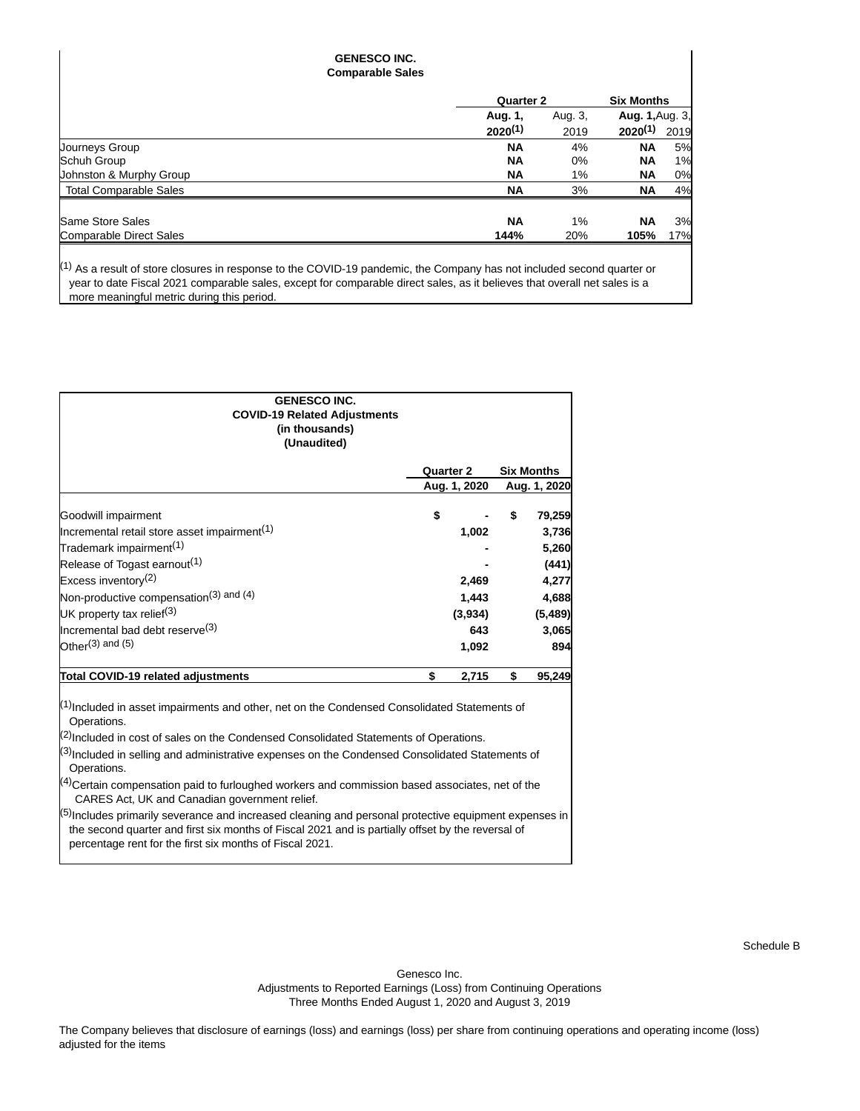|              |         | <b>Six Months</b> |      |
|--------------|---------|-------------------|------|
| Aug. 1,      | Aug. 3, | Aug. 1, Aug. 3,   |      |
| $2020^{(1)}$ | 2019    | $2020^{(1)}$      | 2019 |
| <b>NA</b>    | 4%      | <b>NA</b>         | 5%   |
| <b>NA</b>    | $0\%$   | <b>NA</b>         | 1%   |
| <b>NA</b>    | 1%      | <b>NA</b>         | 0%   |
| <b>NA</b>    | 3%      | ΝA                | 4%   |
| <b>NA</b>    | 1%      | <b>NA</b>         | 3%   |
| 144%         | 20%     | 105%              | 17%  |
|              |         | <b>Quarter 2</b>  |      |

 $(1)$  As a result of store closures in response to the COVID-19 pandemic, the Company has not included second quarter or year to date Fiscal 2021 comparable sales, except for comparable direct sales, as it believes that overall net sales is a more meaningful metric during this period.

| <b>GENESCO INC.</b><br><b>COVID-19 Related Adjustments</b><br>(in thousands)<br>(Unaudited)                                                           |                  |                   |
|-------------------------------------------------------------------------------------------------------------------------------------------------------|------------------|-------------------|
|                                                                                                                                                       | <b>Quarter 2</b> | <b>Six Months</b> |
|                                                                                                                                                       | Aug. 1, 2020     | Aug. 1, 2020      |
| Goodwill impairment                                                                                                                                   | \$               | \$<br>79,259      |
| Incremental retail store asset impairment <sup>(1)</sup>                                                                                              | 1,002            | 3,736             |
| Trademark impairment <sup>(1)</sup>                                                                                                                   |                  | 5,260             |
| Release of Togast earnout <sup>(1)</sup>                                                                                                              |                  | (441)             |
| Excess inventory $(2)$                                                                                                                                | 2,469            | 4,277             |
| Non-productive compensation <sup>(3) and (4)</sup>                                                                                                    | 1,443            | 4,688             |
| UK property tax relief $(3)$                                                                                                                          | (3,934)          | (5, 489)          |
| Incremental bad debt reserve <sup>(3)</sup>                                                                                                           | 643              | 3,065             |
| Other $(3)$ and $(5)$                                                                                                                                 | 1,092            | 894               |
| Total COVID-19 related adjustments                                                                                                                    | \$<br>2,715      | \$<br>95,249      |
| $^{(1)}$ Included in asset impairments and other, net on the Condensed Consolidated Statements of<br>Operations.                                      |                  |                   |
| <sup>(2)</sup> Included in cost of sales on the Condensed Consolidated Statements of Operations.                                                      |                  |                   |
| (3) Included in selling and administrative expenses on the Condensed Consolidated Statements of<br>Operations.                                        |                  |                   |
| $^{(4)}$ Certain compensation paid to furloughed workers and commission based associates, net of the<br>CARES Act, UK and Canadian government relief. |                  |                   |
| (5) Includes primarily severance and increased cleaning and personal protective equipment expenses in                                                 |                  |                   |

 the second quarter and first six months of Fiscal 2021 and is partially offset by the reversal of percentage rent for the first six months of Fiscal 2021.

Schedule B

Genesco Inc. Adjustments to Reported Earnings (Loss) from Continuing Operations Three Months Ended August 1, 2020 and August 3, 2019

The Company believes that disclosure of earnings (loss) and earnings (loss) per share from continuing operations and operating income (loss) adjusted for the items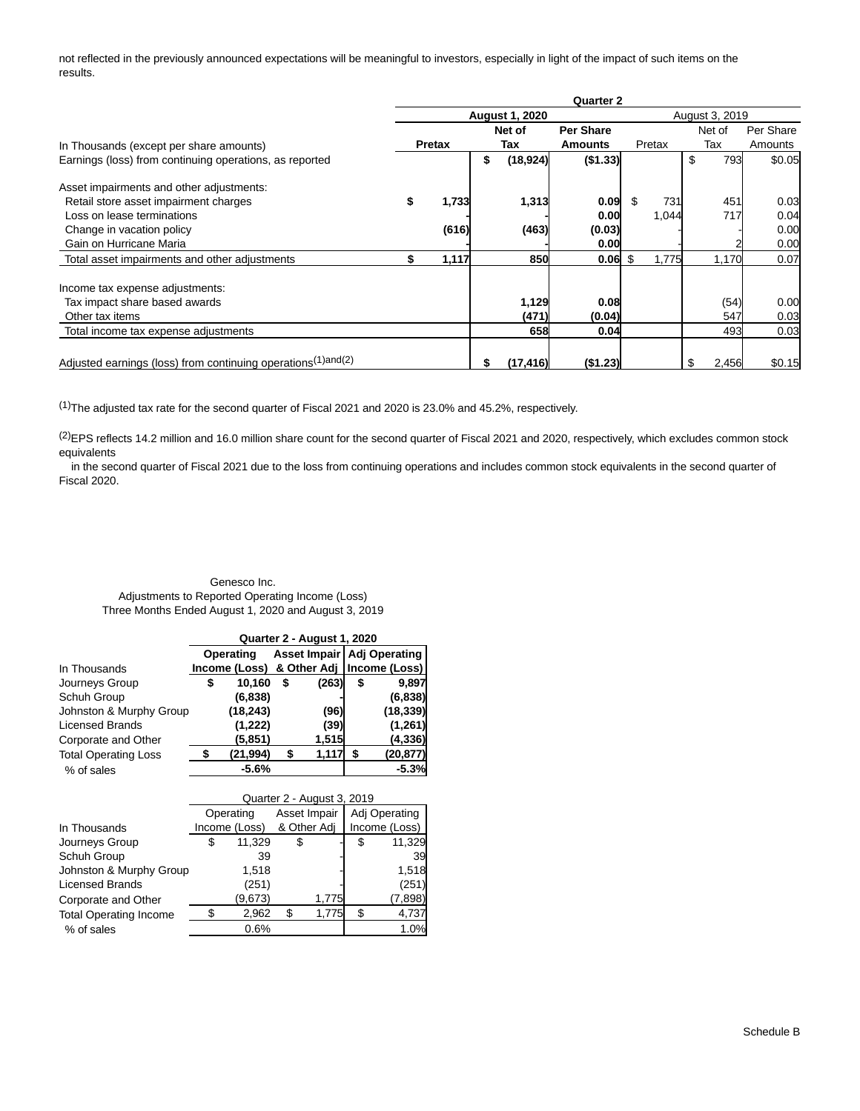not reflected in the previously announced expectations will be meaningful to investors, especially in light of the impact of such items on the results.

|                                                                          | <b>Quarter 2</b> |               |    |                       |                  |                |        |    |        |           |
|--------------------------------------------------------------------------|------------------|---------------|----|-----------------------|------------------|----------------|--------|----|--------|-----------|
|                                                                          |                  |               |    | <b>August 1, 2020</b> |                  | August 3, 2019 |        |    |        |           |
|                                                                          |                  |               |    | Net of                | <b>Per Share</b> |                |        |    | Net of | Per Share |
| In Thousands (except per share amounts)                                  |                  | <b>Pretax</b> |    | Tax                   | <b>Amounts</b>   |                | Pretax |    | Tax    | Amounts   |
| Earnings (loss) from continuing operations, as reported                  |                  |               | \$ | (18,924)              | ( \$1.33)        |                |        | \$ | 793    | \$0.05    |
| Asset impairments and other adjustments:                                 |                  |               |    |                       |                  |                |        |    |        |           |
| Retail store asset impairment charges                                    | \$               | 1,733         |    | 1,313                 | 0.09             | S              | 731    |    | 451    | 0.03      |
| Loss on lease terminations                                               |                  |               |    |                       | 0.00             |                | 1,044  |    | 717    | 0.04      |
| Change in vacation policy                                                |                  | (616)         |    | (463)                 | (0.03)           |                |        |    |        | 0.00      |
| Gain on Hurricane Maria                                                  |                  |               |    |                       | 0.00             |                |        |    |        | 0.00      |
| Total asset impairments and other adjustments                            |                  | 1,117         |    | 850                   | 0.06             | - 95           | 1.775  |    | 1,170  | 0.07      |
| Income tax expense adjustments:                                          |                  |               |    |                       |                  |                |        |    |        |           |
| Tax impact share based awards                                            |                  |               |    | 1,129                 | 0.08             |                |        |    | (54)   | 0.00      |
| Other tax items                                                          |                  |               |    | (471)                 | (0.04)           |                |        |    | 547    | 0.03      |
| Total income tax expense adjustments                                     |                  |               |    | 658                   | 0.04             |                |        |    | 493    | 0.03      |
|                                                                          |                  |               |    |                       |                  |                |        |    |        |           |
| Adjusted earnings (loss) from continuing operations <sup>(1)and(2)</sup> |                  |               | \$ | (17, 416)             | (\$1.23)         |                |        |    | 2,456  | \$0.15    |

(1)The adjusted tax rate for the second quarter of Fiscal 2021 and 2020 is 23.0% and 45.2%, respectively.

(2)EPS reflects 14.2 million and 16.0 million share count for the second quarter of Fiscal 2021 and 2020, respectively, which excludes common stock equivalents

 in the second quarter of Fiscal 2021 due to the loss from continuing operations and includes common stock equivalents in the second quarter of Fiscal 2020.

#### Genesco Inc. Adjustments to Reported Operating Income (Loss) Three Months Ended August 1, 2020 and August 3, 2019

|                               | Quarter 2 - August 1, 2020 |               |    |              |                              |               |  |  |  |
|-------------------------------|----------------------------|---------------|----|--------------|------------------------------|---------------|--|--|--|
|                               | Operating                  |               |    |              | Asset Impair   Adj Operating |               |  |  |  |
| In Thousands                  |                            | Income (Loss) |    | & Other Adj  |                              | Income (Loss) |  |  |  |
| Journeys Group                | \$                         | 10,160        | \$ | (263)        | \$                           | 9,897         |  |  |  |
| Schuh Group                   |                            | (6,838)       |    |              |                              | (6, 838)      |  |  |  |
| Johnston & Murphy Group       |                            | (18, 243)     |    | (96)         |                              | (18, 339)     |  |  |  |
| <b>Licensed Brands</b>        |                            | (1,222)       |    | (39)         |                              | (1, 261)      |  |  |  |
| Corporate and Other           |                            | (5,851)       |    | 1,515        |                              | (4,336)       |  |  |  |
| <b>Total Operating Loss</b>   | \$                         | (21,994)      | \$ | 1,117        | \$                           | (20,877)      |  |  |  |
| % of sales                    |                            | $-5.6%$       |    |              |                              | $-5.3%$       |  |  |  |
|                               | Quarter 2 - August 3, 2019 |               |    |              |                              |               |  |  |  |
|                               |                            | Operating     |    | Asset Impair | Adj Operating                |               |  |  |  |
| In Thousands                  |                            | Income (Loss) |    | & Other Adj  |                              | Income (Loss) |  |  |  |
| Journeys Group                | \$                         | 11,329        | \$ |              | \$                           | 11,329        |  |  |  |
| Schuh Group                   |                            | 39            |    |              |                              | 39            |  |  |  |
| Johnston & Murphy Group       |                            | 1,518         |    |              |                              | 1,518         |  |  |  |
| <b>Licensed Brands</b>        |                            | (251)         |    |              |                              | (251)         |  |  |  |
| Corporate and Other           |                            | (9,673)       |    | 1,775        |                              | (7,898)       |  |  |  |
| <b>Total Operating Income</b> | \$                         | 2,962         | \$ | 1,775        | \$                           | 4,737         |  |  |  |
| % of sales                    |                            | 0.6%          |    |              |                              | 1.0%          |  |  |  |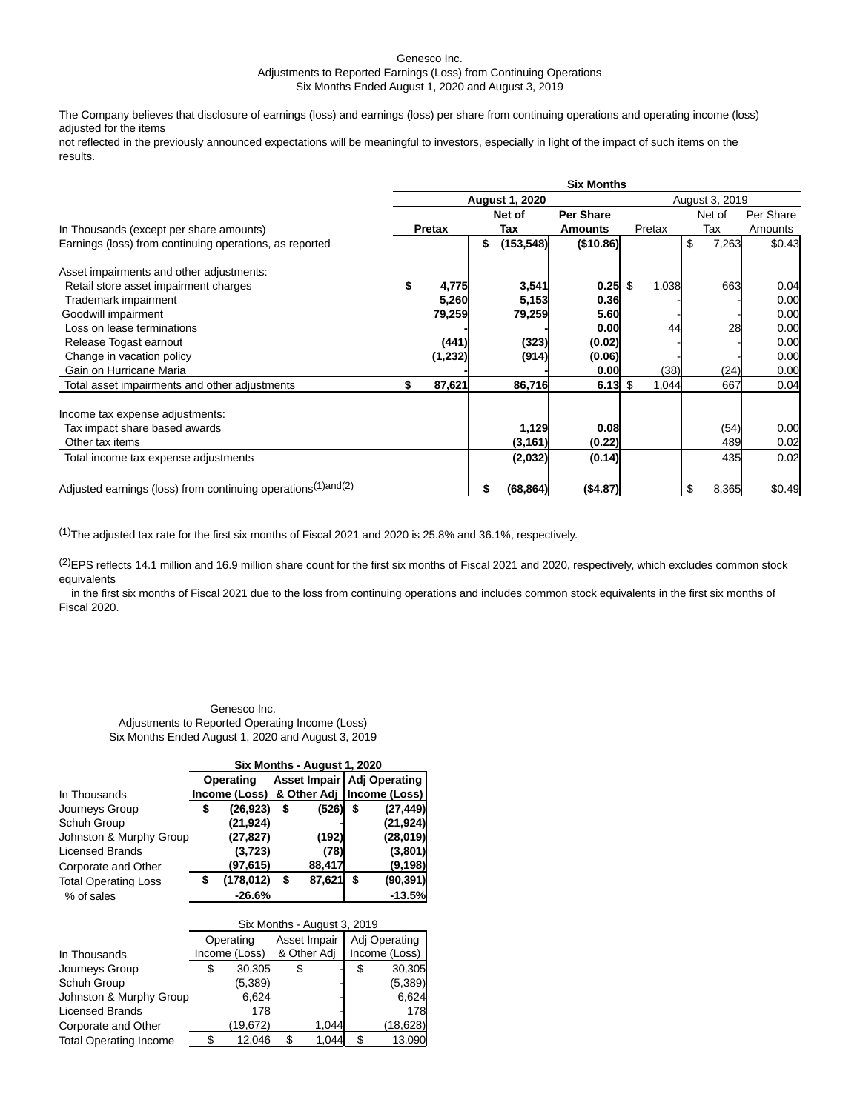#### Genesco Inc. Adjustments to Reported Earnings (Loss) from Continuing Operations Six Months Ended August 1, 2020 and August 3, 2019

The Company believes that disclosure of earnings (loss) and earnings (loss) per share from continuing operations and operating income (loss) adjusted for the items

not reflected in the previously announced expectations will be meaningful to investors, especially in light of the impact of such items on the results.

|                                                                          | <b>Six Months</b> |                       |    |            |                  |  |                |    |        |           |
|--------------------------------------------------------------------------|-------------------|-----------------------|----|------------|------------------|--|----------------|----|--------|-----------|
|                                                                          |                   | <b>August 1, 2020</b> |    |            |                  |  | August 3, 2019 |    |        |           |
|                                                                          |                   |                       |    | Net of     | <b>Per Share</b> |  |                |    | Net of | Per Share |
| In Thousands (except per share amounts)                                  |                   | <b>Pretax</b>         |    | Tax        | <b>Amounts</b>   |  | Pretax         |    | Tax    | Amounts   |
| Earnings (loss) from continuing operations, as reported                  |                   |                       | \$ | (153, 548) | (\$10.86)        |  |                | \$ | 7,263  | \$0.43    |
| Asset impairments and other adjustments:                                 |                   |                       |    |            |                  |  |                |    |        |           |
| Retail store asset impairment charges                                    |                   | 4,775                 |    | 3,541      | 0.25             |  | 1,038          |    | 663    | 0.04      |
| Trademark impairment                                                     |                   | 5,260                 |    | 5,153      | 0.36             |  |                |    |        | 0.00      |
| Goodwill impairment                                                      |                   | 79,259                |    | 79,259     | 5.60             |  |                |    |        | 0.00      |
| Loss on lease terminations                                               |                   |                       |    |            | 0.00             |  | 44             |    | 28     | 0.00      |
| Release Togast earnout                                                   |                   | (441)                 |    | (323)      | (0.02)           |  |                |    |        | 0.00      |
| Change in vacation policy                                                |                   | (1, 232)              |    | (914)      | (0.06)           |  |                |    |        | 0.00      |
| Gain on Hurricane Maria                                                  |                   |                       |    |            | 0.00             |  | (38)           |    | (24)   | 0.00      |
| Total asset impairments and other adjustments                            | \$                | 87,621                |    | 86,716     | 6.13 $$$         |  | 1,044          |    | 667    | 0.04      |
| Income tax expense adjustments:                                          |                   |                       |    |            |                  |  |                |    |        |           |
| Tax impact share based awards                                            |                   |                       |    | 1,129      | 0.08             |  |                |    | (54)   | 0.00      |
| Other tax items                                                          |                   |                       |    | (3, 161)   | (0.22)           |  |                |    | 489    | 0.02      |
| Total income tax expense adjustments                                     |                   |                       |    | (2,032)    | (0.14)           |  |                |    | 435    | 0.02      |
| Adjusted earnings (loss) from continuing operations <sup>(1)and(2)</sup> |                   |                       |    | (68, 864)  | (\$4.87)         |  |                |    | 8,365  | \$0.49    |

(1)The adjusted tax rate for the first six months of Fiscal 2021 and 2020 is 25.8% and 36.1%, respectively.

<sup>(2)</sup>EPS reflects 14.1 million and 16.9 million share count for the first six months of Fiscal 2021 and 2020, respectively, which excludes common stock equivalents

 in the first six months of Fiscal 2021 due to the loss from continuing operations and includes common stock equivalents in the first six months of Fiscal 2020.

Genesco Inc. Adjustments to Reported Operating Income (Loss) Six Months Ended August 1, 2020 and August 3, 2019

|                             | Six Months - August 1, 2020 |               |    |             |                                     |               |  |  |  |
|-----------------------------|-----------------------------|---------------|----|-------------|-------------------------------------|---------------|--|--|--|
|                             | Operating                   |               |    |             | <b>Asset Impair   Adj Operating</b> |               |  |  |  |
| In Thousands                |                             | Income (Loss) |    | & Other Adj |                                     | Income (Loss) |  |  |  |
| Journeys Group              | \$                          | (26, 923)     | \$ | (526)       | \$                                  | (27, 449)     |  |  |  |
| Schuh Group                 |                             | (21, 924)     |    |             |                                     | (21, 924)     |  |  |  |
| Johnston & Murphy Group     |                             | (27, 827)     |    | (192)       |                                     | (28,019)      |  |  |  |
| <b>Licensed Brands</b>      |                             | (3, 723)      |    | (78)        |                                     | (3,801)       |  |  |  |
| Corporate and Other         |                             | (97, 615)     |    | 88,417      |                                     | (9,198)       |  |  |  |
| <b>Total Operating Loss</b> |                             | (178, 012)    | \$ | 87,621      | \$                                  | (90,391)      |  |  |  |
| % of sales                  |                             | $-26.6%$      |    |             |                                     | $-13.5%$      |  |  |  |

|                               | Six Months - August 3, 2019 |          |             |              |               |           |  |  |  |
|-------------------------------|-----------------------------|----------|-------------|--------------|---------------|-----------|--|--|--|
|                               | Operating                   |          |             | Asset Impair | Adj Operating |           |  |  |  |
| In Thousands                  | Income (Loss)               |          | & Other Adj |              | Income (Loss) |           |  |  |  |
| Journeys Group                | S                           | 30,305   | S           |              | \$            | 30,305    |  |  |  |
| Schuh Group                   |                             | (5,389)  |             |              |               | (5,389)   |  |  |  |
| Johnston & Murphy Group       |                             | 6,624    |             |              |               | 6,624     |  |  |  |
| <b>Licensed Brands</b>        |                             | 178      |             |              |               | 178       |  |  |  |
| Corporate and Other           |                             | (19,672) |             | 1.044        |               | (18, 628) |  |  |  |
| <b>Total Operating Income</b> |                             | 12.046   |             | 1,044        |               | 13,090    |  |  |  |